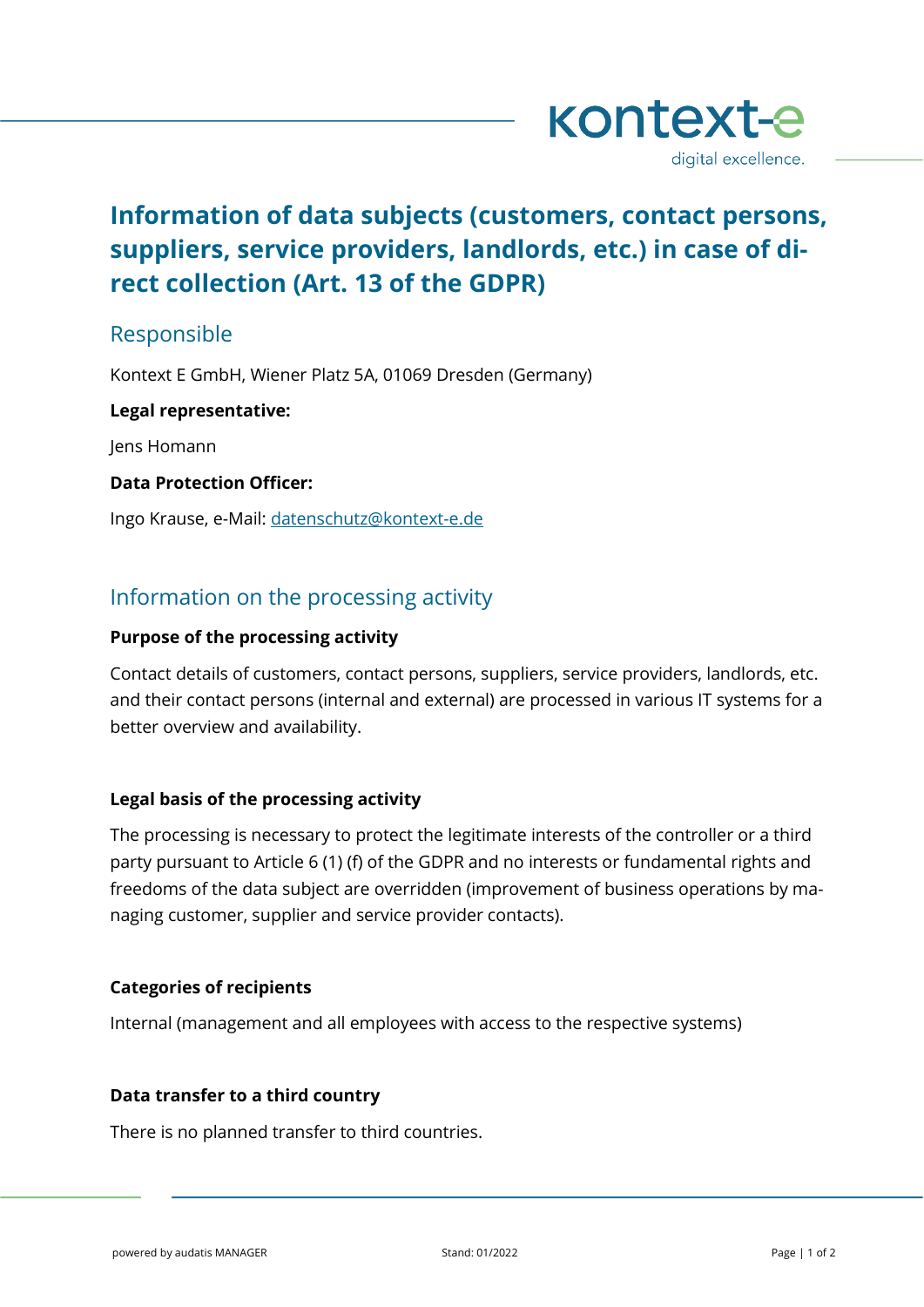

# **Information of data subjects (customers, contact persons, suppliers, service providers, landlords, etc.) in case of direct collection (Art. 13 of the GDPR)**

# Responsible

Kontext E GmbH, Wiener Platz 5A, 01069 Dresden (Germany)

# **Legal representative:**

Jens Homann

# **Data Protection Officer:**

Ingo Krause, e-Mail: [datenschutz@kontext-e.de](mailto:datenschutz@kontext-e.de)

# Information on the processing activity

# **Purpose of the processing activity**

Contact details of customers, contact persons, suppliers, service providers, landlords, etc. and their contact persons (internal and external) are processed in various IT systems for a better overview and availability.

# **Legal basis of the processing activity**

The processing is necessary to protect the legitimate interests of the controller or a third party pursuant to Article 6 (1) (f) of the GDPR and no interests or fundamental rights and freedoms of the data subject are overridden (improvement of business operations by managing customer, supplier and service provider contacts).

#### **Categories of recipients**

Internal (management and all employees with access to the respective systems)

#### **Data transfer to a third country**

There is no planned transfer to third countries.